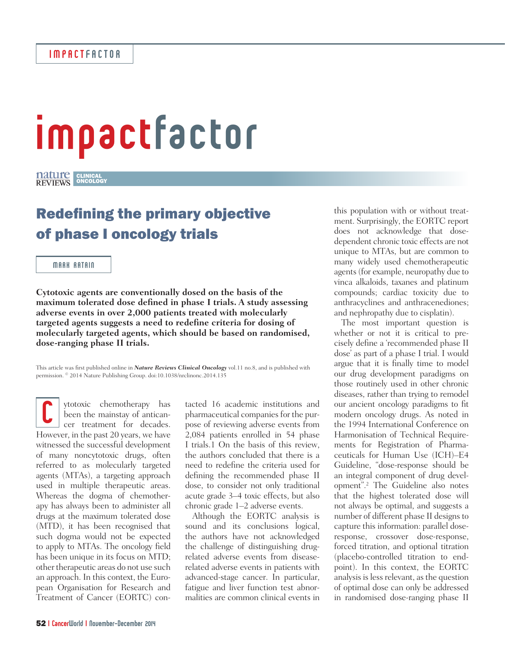## impactfactor

CLINICAL ONCOLOGY

## Redefining the primary objective of phase I oncology trials

## MARK RATAIN

**Cytotoxic agents are conventionally dosed on the basis of the maximum tolerated dose defined in phase I trials. A study assessing adverse events in over 2,000 patients treated with molecularly targeted agents suggests a need to redefine criteria for dosing of molecularly targeted agents, which should be based on randomised, dose-ranging phase II trials.** 

This article was first published online in *Nature Reviews Clinical Oncology* vol.11 no.8, and is published with permission. © 2014 Nature Publishing Group. doi:10.1038/nrclinonc.2014.135

ytotoxic chemotherapy has been the mainstay of anticancer treatment for decades. **C**<br>been the mainstay of anticancer treatment for decades.<br>However, in the past 20 years, we have witnessed the successful development of many noncytotoxic drugs, often referred to as molecularly targeted agents (MTAs), a targeting approach used in multiple therapeutic areas. Whereas the dogma of chemotherapy has always been to administer all drugs at the maximum tolerated dose (MTD), it has been recognised that such dogma would not be expected to apply to MTAs. The oncology field has been unique in its focus on MTD; other therapeutic areas do not use such an approach. In this context, the European Organisation for Research and Treatment of Cancer (EORTC) con-

tacted 16 academic institutions and pharmaceutical companies for the purpose of reviewing adverse events from 2,084 patients enrolled in 54 phase I trials.1 On the basis of this review, the authors concluded that there is a need to redefine the criteria used for defining the recommended phase II dose, to consider not only traditional acute grade 3–4 toxic effects, but also chronic grade 1–2 adverse events.

Although the EORTC analysis is sound and its conclusions logical, the authors have not acknowledged the challenge of distinguishing drugrelated adverse events from diseaserelated adverse events in patients with advanced-stage cancer. In particular, fatigue and liver function test abnormalities are common clinical events in

this population with or without treatment. Surprisingly, the EORTC report does not acknowledge that dosedependent chronic toxic effects are not unique to MTAs, but are common to many widely used chemotherapeutic agents (for example, neuropathy due to vinca alkaloids, taxanes and platinum compounds; cardiac toxicity due to anthracyclines and anthracenediones; and nephropathy due to cisplatin).

The most important question is whether or not it is critical to precisely define a 'recommended phase II dose' as part of a phase I trial. I would argue that it is finally time to model our drug development paradigms on those routinely used in other chronic diseases, rather than trying to remodel our ancient oncology paradigms to fit modern oncology drugs. As noted in the 1994 International Conference on Harmonisation of Technical Requirements for Registration of Pharmaceuticals for Human Use (ICH)–E4 Guideline, "dose-response should be an integral component of drug development".2 The Guideline also notes that the highest tolerated dose will not always be optimal, and suggests a number of different phase II designs to capture this information: parallel doseresponse, crossover dose-response, forced titration, and optional titration (placebo-controlled titration to endpoint). In this context, the EORTC analysis is less relevant, as the question of optimal dose can only be addressed in randomised dose-ranging phase II